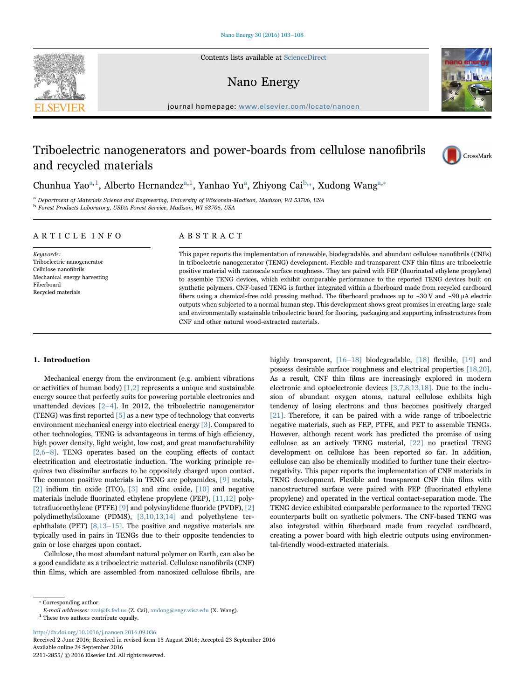Contents lists available at [ScienceDirect](http://www.sciencedirect.com/science/journal/22112855)

# Nano Energy

journal homepage: [www.elsevier.com/locate/nanoen](http://www.elsevier.com/locate/nanoen)

# Triboelectric nanogenerators and power-boards from cellulose nanofibrils and recycled materials

Chunhu[a](#page-0-0) Yao<sup>a,[1](#page-0-1)</sup>, Alberto Hernandez<sup>a,1</sup>, Yanhao Yu<sup>a</sup>, Zhiyong Cai<sup>[b,](#page-0-2)</sup>\*, Xudong Wang<sup>a,\*</sup>

<span id="page-0-2"></span><span id="page-0-0"></span><sup>a</sup> Department of Materials Science and Engineering, University of Wisconsin-Madison, Madison, WI 53706, USA <sup>b</sup> Forest Products Laboratory, USDA Forest Service, Madison, WI 53706, USA

### ARTICLE INFO

Keywords: Triboelectric nanogenerator Cellulose nanofibrils Mechanical energy harvesting Fiberboard Recycled materials

# ABSTRACT

This paper reports the implementation of renewable, biodegradable, and abundant cellulose nanofibrils (CNFs) in triboelectric nanogenerator (TENG) development. Flexible and transparent CNF thin films are triboelectric positive material with nanoscale surface roughness. They are paired with FEP (fluorinated ethylene propylene) to assemble TENG devices, which exhibit comparable performance to the reported TENG devices built on synthetic polymers. CNF-based TENG is further integrated within a fiberboard made from recycled cardboard fibers using a chemical-free cold pressing method. The fiberboard produces up to ~30 V and ~90 μA electric outputs when subjected to a normal human step. This development shows great promises in creating large-scale and environmentally sustainable triboelectric board for flooring, packaging and supporting infrastructures from CNF and other natural wood-extracted materials.

## 1. Introduction

Mechanical energy from the environment (e.g. ambient vibrations or activities of human body) [\[1,2\]](#page-5-0) represents a unique and sustainable energy source that perfectly suits for powering portable electronics and unattended devices [2–[4\]](#page-5-1). In 2012, the triboelectric nanogenerator (TENG) was first reported  $\lceil 5 \rceil$  as a new type of technology that converts environment mechanical energy into electrical energy [\[3\].](#page-5-3) Compared to other technologies, TENG is advantageous in terms of high efficiency, high power density, light weight, low cost, and great manufacturability [\[2,6](#page-5-1)–8]. TENG operates based on the coupling effects of contact electrification and electrostatic induction. The working principle requires two dissimilar surfaces to be oppositely charged upon contact. The common positive materials in TENG are polyamides, [\[9\]](#page-5-4) metals, [\[2\]](#page-5-1) indium tin oxide (ITO), [\[3\]](#page-5-3) and zinc oxide, [\[10\]](#page-5-5) and negative materials include fluorinated ethylene propylene (FEP), [\[11,12\]](#page-5-6) polytetrafluoroethylene (PTFE) [\[9\]](#page-5-4) and polyvinylidene fluoride (PVDF), [\[2\]](#page-5-1) polydimethylsiloxane (PDMS), [\[3,10,13,14\]](#page-5-3) and polyethylene terephthalate (PET) [\[8,13](#page-5-7)–15]. The positive and negative materials are typically used in pairs in TENGs due to their opposite tendencies to gain or lose charges upon contact.

Cellulose, the most abundant natural polymer on Earth, can also be a good candidate as a triboelectric material. Cellulose nanofibrils (CNF) thin films, which are assembled from nanosized cellulose fibrils, are

<span id="page-0-3"></span>⁎ Corresponding author.

<span id="page-0-1"></span> $^{\rm 1}$  These two authors contribute equally.

<http://dx.doi.org/10.1016/j.nanoen.2016.09.036>

Received 2 June 2016; Received in revised form 15 August 2016; Accepted 23 September 2016 2211-2855/ © 2016 Elsevier Ltd. All rights reserved. Available online 24 September 2016

highly transparent, [16–[18\]](#page-5-8) biodegradable, [\[18\]](#page-5-9) flexible, [\[19\]](#page-5-10) and possess desirable surface roughness and electrical properties [\[18,20\]](#page-5-9). As a result, CNF thin films are increasingly explored in modern electronic and optoelectronic devices [\[3,7,8,13,18\]](#page-5-3). Due to the inclusion of abundant oxygen atoms, natural cellulose exhibits high tendency of losing electrons and thus becomes positively charged [\[21\].](#page-5-11) Therefore, it can be paired with a wide range of triboelectric negative materials, such as FEP, PTFE, and PET to assemble TENGs. However, although recent work has predicted the promise of using cellulose as an actively TENG material, [\[22\]](#page-5-12) no practical TENG development on cellulose has been reported so far. In addition, cellulose can also be chemically modified to further tune their electronegativity. This paper reports the implementation of CNF materials in TENG development. Flexible and transparent CNF thin films with nanostructured surface were paired with FEP (fluorinated ethylene propylene) and operated in the vertical contact-separation mode. The TENG device exhibited comparable performance to the reported TENG counterparts built on synthetic polymers. The CNF-based TENG was also integrated within fiberboard made from recycled cardboard, creating a power board with high electric outputs using environmental-friendly wood-extracted materials.



CrossMark



E-mail addresses: zcai@fs.fed.us (Z. Cai), xudong@engr.wisc.edu (X. Wang).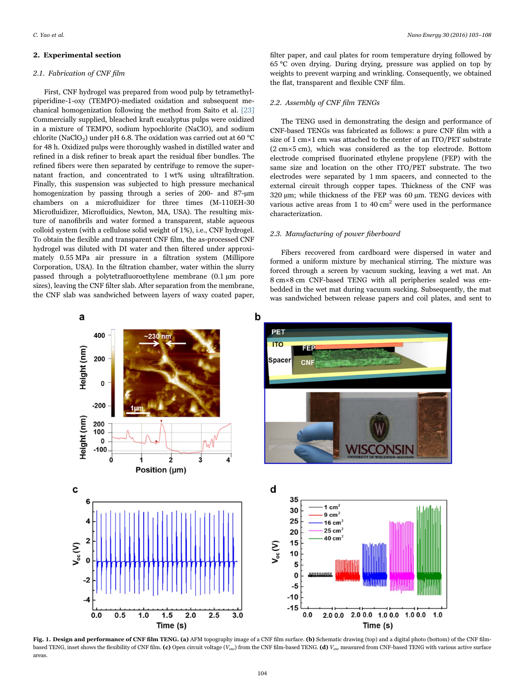#### 2. Experimental section

#### 2.1. Fabrication of CNF film

First, CNF hydrogel was prepared from wood pulp by tetramethylpiperidine-1-oxy (TEMPO)-mediated oxidation and subsequent mechanical homogenization following the method from Saito et al. [\[23\]](#page-5-13) Commercially supplied, bleached kraft eucalyptus pulps were oxidized in a mixture of TEMPO, sodium hypochlorite (NaClO), and sodium chlorite (NaClO<sub>2</sub>) under pH 6.8. The oxidation was carried out at 60 °C for 48 h. Oxidized pulps were thoroughly washed in distilled water and refined in a disk refiner to break apart the residual fiber bundles. The refined fibers were then separated by centrifuge to remove the supernatant fraction, and concentrated to 1 wt% using ultrafiltration. Finally, this suspension was subjected to high pressure mechanical homogenization by passing through a series of 200- and 87-µm chambers on a microfluidizer for three times (M-110EH-30 Microfluidizer, Microfluidics, Newton, MA, USA). The resulting mixture of nanofibrils and water formed a transparent, stable aqueous colloid system (with a cellulose solid weight of 1%), i.e., CNF hydrogel. To obtain the flexible and transparent CNF film, the as-processed CNF hydrogel was diluted with DI water and then filtered under approximately 0.55 MPa air pressure in a filtration system (Millipore Corporation, USA). In the filtration chamber, water within the slurry passed through a polytetrafluoroethylene membrane (0.1 µm pore sizes), leaving the CNF filter slab. After separation from the membrane, the CNF slab was sandwiched between layers of waxy coated paper,

filter paper, and caul plates for room temperature drying followed by 65 °C oven drying. During drying, pressure was applied on top by weights to prevent warping and wrinkling. Consequently, we obtained the flat, transparent and flexible CNF film.

#### 2.2. Assembly of CNF film TENGs

The TENG used in demonstrating the design and performance of CNF-based TENGs was fabricated as follows: a pure CNF film with a size of 1 cm×1 cm was attached to the center of an ITO/PET substrate (2 cm×5 cm), which was considered as the top electrode. Bottom electrode comprised fluorinated ethylene propylene (FEP) with the same size and location on the other ITO/PET substrate. The two electrodes were separated by 1 mm spacers, and connected to the external circuit through copper tapes. Thickness of the CNF was 320 µm; while thickness of the FEP was 60 µm. TENG devices with various active areas from 1 to  $40 \text{ cm}^2$  were used in the performance characterization.

### 2.3. Manufacturing of power fiberboard

Fibers recovered from cardboard were dispersed in water and formed a uniform mixture by mechanical stirring. The mixture was forced through a screen by vacuum sucking, leaving a wet mat. An 8 cm×8 cm CNF-based TENG with all peripheries sealed was embedded in the wet mat during vacuum sucking. Subsequently, the mat was sandwiched between release papers and coil plates, and sent to

<span id="page-1-0"></span>

Fig. 1. Design and performance of CNF film TENG. (a) AFM topography image of a CNF film surface. (b) Schematic drawing (top) and a digital photo (bottom) of the CNF filmbased TENG, inset shows the flexibility of CNF film. (c) Open circuit voltage ( $V_{oc}$ ) from the CNF film-based TENG. (d)  $V_{oc}$  measured from CNF-based TENG with various active surface areas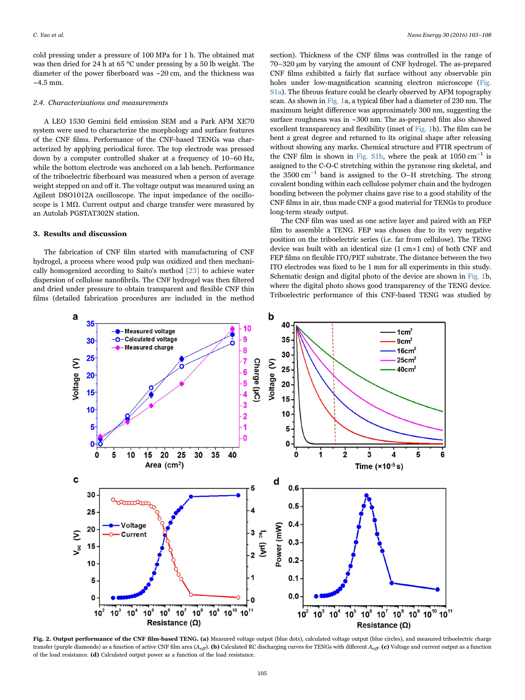cold pressing under a pressure of 100 MPa for 1 h. The obtained mat was then dried for 24 h at 65 °C under pressing by a 50 lb weight. The diameter of the power fiberboard was ~20 cm, and the thickness was  $~14.5$  mm.

#### 2.4. Characterizations and measurements

A LEO 1530 Gemini field emission SEM and a Park AFM XE70 system were used to characterize the morphology and surface features of the CNF films. Performance of the CNF-based TENGs was characterized by applying periodical force. The top electrode was pressed down by a computer controlled shaker at a frequency of 10–60 Hz, while the bottom electrode was anchored on a lab bench. Performance of the triboelectric fiberboard was measured when a person of average weight stepped on and off it. The voltage output was measured using an Agilent DSO1012A oscilloscope. The input impedance of the oscilloscope is 1 MΩ. Current output and charge transfer were measured by an Autolab PGSTAT302N station.

## 3. Results and discussion

The fabrication of CNF film started with manufacturing of CNF hydrogel, a process where wood pulp was oxidized and then mechanically homogenized according to Saito's method [\[23\]](#page-5-13) to achieve water dispersion of cellulose nanofibrils. The CNF hydrogel was then filtered and dried under pressure to obtain transparent and flexible CNF thin films (detailed fabrication procedures are included in the method

section). Thickness of the CNF films was controlled in the range of 70–320 µm by varying the amount of CNF hydrogel. The as-prepared CNF films exhibited a fairly flat surface without any observable pin holes under low-magnification scanning electron microscope (Fig. S1a). The fibrous feature could be clearly observed by AFM topography scan. As shown in [Fig. 1](#page-1-0)a, a typical fiber had a diameter of 230 nm. The maximum height difference was approximately 300 nm, suggesting the surface roughness was in ~300 nm. The as-prepared film also showed excellent transparency and flexibility (inset of [Fig. 1b](#page-1-0)). The film can be bent a great degree and returned to its original shape after releasing without showing any marks. Chemical structure and FTIR spectrum of the CNF film is shown in Fig. S1b, where the peak at  $1050 \text{ cm}^{-1}$  is assigned to the C-O-C stretching within the pyranose ring skeletal, and the 3500 cm−<sup>1</sup> band is assigned to the O–H stretching. The strong covalent bonding within each cellulose polymer chain and the hydrogen bonding between the polymer chains gave rise to a good stability of the CNF films in air, thus made CNF a good material for TENGs to produce long-term steady output.

The CNF film was used as one active layer and paired with an FEP film to assemble a TENG. FEP was chosen due to its very negative position on the triboelectric series (i.e. far from cellulose). The TENG device was built with an identical size (1 cm×1 cm) of both CNF and FEP films on flexible ITO/PET substrate. The distance between the two ITO electrodes was fixed to be 1 mm for all experiments in this study. Schematic design and digital photo of the device are shown in [Fig. 1](#page-1-0)b, where the digital photo shows good transparency of the TENG device. Triboelectric performance of this CNF-based TENG was studied by

<span id="page-2-0"></span>

Fig. 2. Output performance of the CNF film-based TENG. (a) Measured voltage output (blue dots), calculated voltage output (blue circles), and measured triboelectric charge transfer (purple diamonds) as a function of active CNF film area  $(A_{\text{eff}})$ . (b) Calculated RC discharging curves for TENGs with different  $A_{\text{eff}}$ . (c) Voltage and current output as a function of the load resistance. (d) Calculated output power as a function of the load resistance.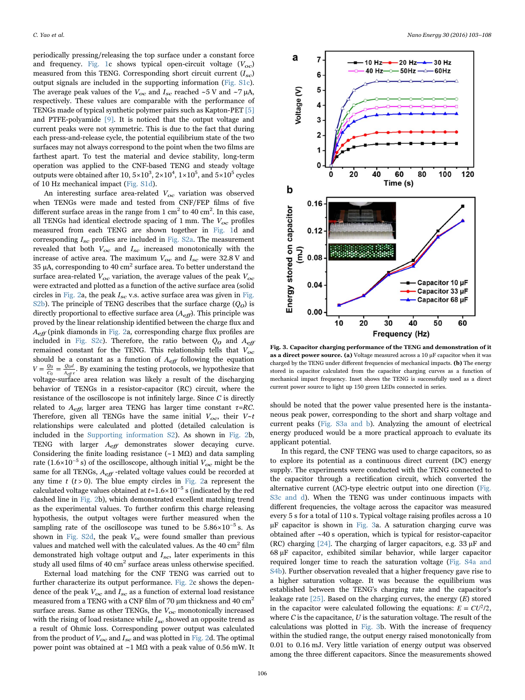periodically pressing/releasing the top surface under a constant force and frequency. [Fig. 1](#page-1-0)c shows typical open-circuit voltage  $(V_{oc})$ measured from this TENG. Corresponding short circuit current  $(I_{sc})$ output signals are included in the supporting information (Fig. S1c). The average peak values of the  $V_{oc}$  and  $I_{sc}$  reached ~5 V and ~7  $\mu$ A, respectively. These values are comparable with the performance of TENGs made of typical synthetic polymer pairs such as Kapton-PET [\[5\]](#page-5-2) and PTFE-polyamide [\[9\]](#page-5-4). It is noticed that the output voltage and current peaks were not symmetric. This is due to the fact that during each press-and-release cycle, the potential equilibrium state of the two surfaces may not always correspond to the point when the two films are farthest apart. To test the material and device stability, long-term operation was applied to the CNF-based TENG and steady voltage outputs were obtained after 10,  $5\times10^3$ ,  $2\times10^4$ ,  $1\times10^5$ , and  $5\times10^5$  cycles of 10 Hz mechanical impact (Fig. S1d).

An interesting surface area-related  $V_{oc}$  variation was observed when TENGs were made and tested from CNF/FEP films of five different surface areas in the range from 1 cm<sup>2</sup> to 40 cm<sup>2</sup>. In this case, all TENGs had identical electrode spacing of 1 mm. The  $V_{oc}$  profiles measured from each TENG are shown together in [Fig. 1](#page-1-0)d and corresponding  $I_{sc}$  profiles are included in Fig. S2a. The measurement revealed that both  $V_{oc}$  and  $I_{sc}$  increased monotonically with the increase of active area. The maximum  $V_{oc}$  and  $I_{sc}$  were 32.8 V and 35  $\mu$ A, corresponding to 40 cm<sup>2</sup> surface area. To better understand the surface area-related  $V_{oc}$  variation, the average values of the peak  $V_{oc}$ were extracted and plotted as a function of the active surface area (solid circles in [Fig. 2](#page-2-0)a, the peak  $I_{sc}$  v.s. active surface area was given in Fig. S2b). The principle of TENG describes that the surface charge  $(Q<sub>o</sub>)$  is directly proportional to effective surface area  $(A_{\text{eff}})$ . This principle was proved by the linear relationship identified between the charge flux and  $A_{\text{eff}}$  (pink diamonds in [Fig. 2a](#page-2-0), corresponding charge flux profiles are included in Fig. S2c). Therefore, the ratio between  $Q_0$  and  $A_{\text{eff}}$ remained constant for the TENG. This relationship tells that  $V_{oc}$ should be a constant as a function of  $A_{\text{eff}}$  following the equation  $V = \frac{Q_0}{C_0} = \frac{Q_0 d}{A_{eff} \epsilon}$ . By examining the testing protocols, we hypothesize that voltage-surface area relation was likely a result of the discharging behavior of TENGs in a resistor-capacitor (RC) circuit, where the resistance of the oscilloscope is not infinitely large. Since  $C$  is directly related to  $A_{\text{eff}}$ , larger area TENG has larger time constant  $\tau = RC$ . Therefore, given all TENGs have the same initial  $V_{oc}$ , their  $V~t$ relationships were calculated and plotted (detailed calculation is included in the [Supporting information S2\)](#page-5-14). As shown in [Fig. 2](#page-2-0)b, TENG with larger  $A_{\text{eff}}$  demonstrates slower decaying curve. Considering the finite loading resistance  $(-1 \text{ M}\Omega)$  and data sampling rate (1.6×10<sup>-5</sup> s) of the oscilloscope, although initial  $V_{oc}$  might be the same for all TENGs,  $A_{\text{eff}}$  -related voltage values could be recorded at any time  $t$  ( $t > 0$ ). The blue empty circles in [Fig. 2a](#page-2-0) represent the calculated voltage values obtained at  $t=1.6\times10^{-5}$  s (indicated by the red dashed line in [Fig. 2b](#page-2-0)), which demonstrated excellent matching trend as the experimental values. To further confirm this charge releasing hypothesis, the output voltages were further measured when the sampling rate of the oscilloscope was tuned to be  $5.86\times10^{-5}$  s. As shown in Fig. S2d, the peak  $V_{oc}$  were found smaller than previous values and matched well with the calculated values. As the 40 cm<sup>2</sup> film demonstrated high voltage output and  $I_{sc}$ , later experiments in this study all used films of 40  $\text{cm}^2$  surface areas unless otherwise specified.

External load matching for the CNF TENG was carried out to further characterize its output performance. [Fig. 2](#page-2-0)c shows the dependence of the peak  $V_{oc}$  and  $I_{sc}$  as a function of external load resistance measured from a TENG with a CNF film of 70  $\mu$ m thickness and 40 cm<sup>2</sup> surface areas. Same as other TENGs, the  $V_{oc}$  monotonically increased with the rising of load resistance while  $I_{sc}$  showed an opposite trend as a result of Ohmic loss. Corresponding power output was calculated from the product of  $V_{oc}$  and  $I_{sc}$  and was plotted in [Fig. 2](#page-2-0)d. The optimal power point was obtained at ~1 MΩ with a peak value of 0.56 mW. It

<span id="page-3-0"></span>

Fig. 3. Capacitor charging performance of the TENG and demonstration of it as a direct power source. (a) Voltage measured across a 10 µF capacitor when it was charged by the TENG under different frequencies of mechanical impacts. (b) The energy stored in capacitor calculated from the capacitor charging curves as a function of mechanical impact frequency. Inset shows the TENG is successfully used as a direct current power source to light up 150 green LEDs connected in series.

should be noted that the power value presented here is the instantaneous peak power, corresponding to the short and sharp voltage and current peaks (Fig. S3a and b). Analyzing the amount of electrical energy produced would be a more practical approach to evaluate its applicant potential.

In this regard, the CNF TENG was used to charge capacitors, so as to explore its potential as a continuous direct current (DC) energy supply. The experiments were conducted with the TENG connected to the capacitor through a rectification circuit, which converted the alternative current (AC)-type electric output into one direction (Fig. S3c and d). When the TENG was under continuous impacts with different frequencies, the voltage across the capacitor was measured every 5 s for a total of 110 s. Typical voltage raising profiles across a 10 µF capacitor is shown in [Fig. 3](#page-3-0)a. A saturation charging curve was obtained after ~40 s operation, which is typical for resistor-capacitor (RC) charging [\[24\]](#page-5-15). The charging of larger capacitors, e.g. 33 µF and 68 µF capacitor, exhibited similar behavior, while larger capacitor required longer time to reach the saturation voltage (Fig. S4a and S4b). Further observation revealed that a higher frequency gave rise to a higher saturation voltage. It was because the equilibrium was established between the TENG's charging rate and the capacitor's leakage rate  $[25]$ . Based on the charging curves, the energy  $(E)$  stored in the capacitor were calculated following the equations:  $E = CU^2/2$ , where  $C$  is the capacitance,  $U$  is the saturation voltage. The result of the calculations was plotted in [Fig. 3b](#page-3-0). With the increase of frequency within the studied range, the output energy raised monotonically from 0.01 to 0.16 mJ. Very little variation of energy output was observed among the three different capacitors. Since the measurements showed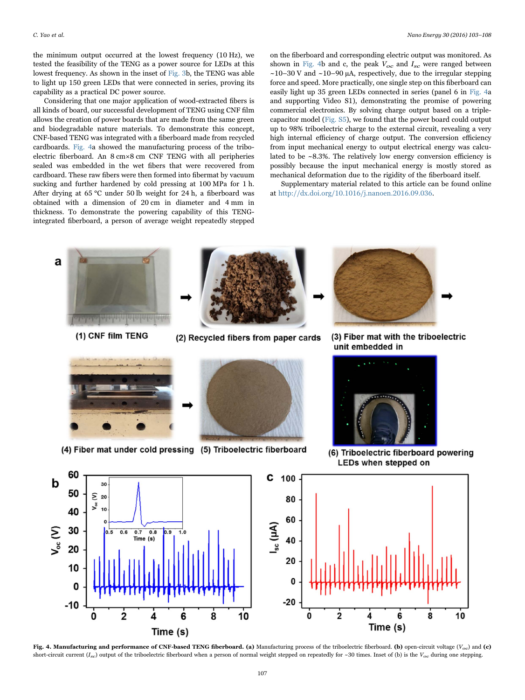the minimum output occurred at the lowest frequency (10 Hz), we tested the feasibility of the TENG as a power source for LEDs at this lowest frequency. As shown in the inset of [Fig. 3](#page-3-0)b, the TENG was able to light up 150 green LEDs that were connected in series, proving its capability as a practical DC power source.

Considering that one major application of wood-extracted fibers is all kinds of board, our successful development of TENG using CNF film allows the creation of power boards that are made from the same green and biodegradable nature materials. To demonstrate this concept, CNF-based TENG was integrated with a fiberboard made from recycled cardboards. [Fig. 4](#page-4-0)a showed the manufacturing process of the triboelectric fiberboard. An 8 cm×8 cm CNF TENG with all peripheries sealed was embedded in the wet fibers that were recovered from cardboard. These raw fibers were then formed into fibermat by vacuum sucking and further hardened by cold pressing at 100 MPa for 1 h. After drying at 65 °C under 50 lb weight for 24 h, a fiberboard was obtained with a dimension of 20 cm in diameter and 4 mm in thickness. To demonstrate the powering capability of this TENGintegrated fiberboard, a person of average weight repeatedly stepped

on the fiberboard and corresponding electric output was monitored. As shown in [Fig. 4b](#page-4-0) and c, the peak  $V_{oc}$  and  $I_{sc}$  were ranged between  $\sim$ 10–30 V and  $\sim$ 10–90 µA, respectively, due to the irregular stepping force and speed. More practically, one single step on this fiberboard can easily light up 35 green LEDs connected in series (panel 6 in [Fig. 4a](#page-4-0) and supporting Video S1), demonstrating the promise of powering commercial electronics. By solving charge output based on a triplecapacitor model (Fig. S5), we found that the power board could output up to 98% triboelectric charge to the external circuit, revealing a very high internal efficiency of charge output. The conversion efficiency from input mechanical energy to output electrical energy was calculated to be  $\sim$ 8.3%. The relatively low energy conversion efficiency is possibly because the input mechanical energy is mostly stored as mechanical deformation due to the rigidity of the fiberboard itself.

Supplementary material related to this article can be found online at [http://dx.doi.org/10.1016/j.nanoen.2016.09.036.](http://dx.doi.org/10.1016/j.nanoen.2016.09.036)

<span id="page-4-0"></span>

Fig. 4. Manufacturing and performance of CNF-based TENG fiberboard. (a) Manufacturing process of the triboelectric fiberboard. (b) open-circuit voltage ( $V_{oc}$ ) and (c) short-circuit current ( $I_{sc}$ ) output of the triboelectric fiberboard when a person of normal weight stepped on repeatedly for ~30 times. Inset of (b) is the  $V_{oc}$  during one stepping.